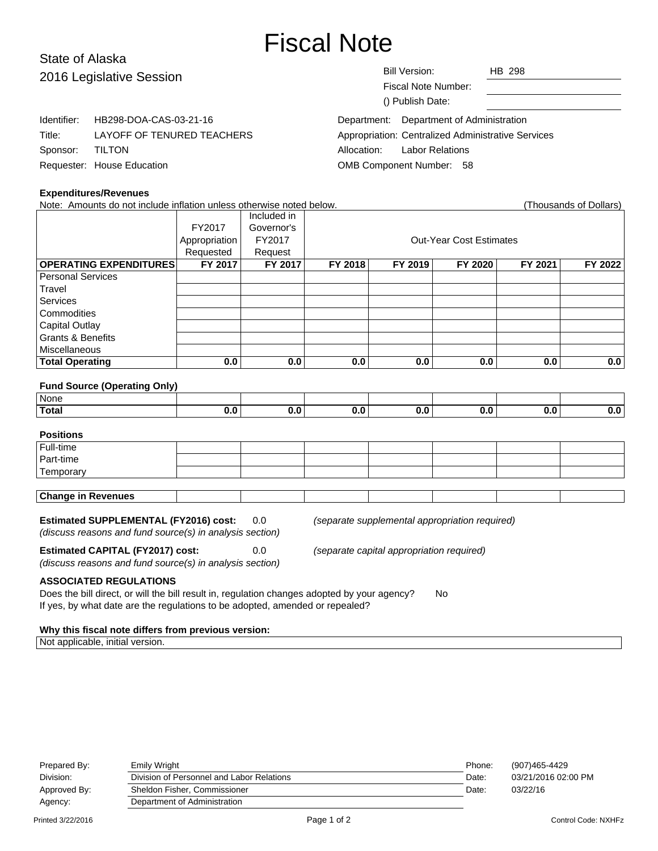# Fiscal Note

# State of Alaska 2016 Legislative Session

|    | Bill Version:       | HB 298                                             |  |
|----|---------------------|----------------------------------------------------|--|
|    | Fiscal Note Number: |                                                    |  |
|    | () Publish Date:    |                                                    |  |
|    |                     | Department: Department of Administration           |  |
| RS |                     | Appropriation: Centralized Administrative Services |  |

Allocation: Labor Relations OMB Component Number: 58

|                 | Identifier: HB298-DOA-CAS-03-21-16 |
|-----------------|------------------------------------|
| Title:          | LAYOFF OF TENURED TEACHERS         |
| Sponsor: TILTON |                                    |
|                 | Requester: House Education         |

#### **Expenditures/Revenues**

Note: Amounts do not include inflation unless otherwise noted below. (Thousands of Dollars) Included in FY2017 Governor's Appropriation FY2017 | COUL-Year Cost Estimates Requested | Request **OPERATING EXPENDITURES FY 2017 FY 2017 FY 2018 FY 2019 FY 2020 FY 2021 FY 2022** Personal Services **Travel** Services **Commodities** Capital Outlay Grants & Benefits **Miscellaneous Total Operating 0.0 0.0 0.0 0.0 0.0 0.0 0.0**

#### **Fund Source (Operating Only)**

| None               |  |  |     |     |
|--------------------|--|--|-----|-----|
| <sup>'</sup> Total |  |  | υ., | J.U |

### **Positions**

| Full-time                 |  |  |  |  |  |  |
|---------------------------|--|--|--|--|--|--|
| Part-time                 |  |  |  |  |  |  |
| Temporary                 |  |  |  |  |  |  |
|                           |  |  |  |  |  |  |
| <b>Change in Revenues</b> |  |  |  |  |  |  |

#### **Estimated SUPPLEMENTAL (FY2016) cost:** 0.0 (separate supplemental appropriation required)

(discuss reasons and fund source(s) in analysis section)

**Estimated CAPITAL (FY2017) cost:** 0.0 (separate capital appropriation required)

(discuss reasons and fund source(s) in analysis section)

#### **ASSOCIATED REGULATIONS**

Does the bill direct, or will the bill result in, regulation changes adopted by your agency? No If yes, by what date are the regulations to be adopted, amended or repealed?

#### **Why this fiscal note differs from previous version:**

Not applicable, initial version.

| Prepared By:      | Emily Wright                              | Phone: | (907)465-4429              |
|-------------------|-------------------------------------------|--------|----------------------------|
| Division:         | Division of Personnel and Labor Relations | Date:  | 03/21/2016 02:00 PM        |
| Approved By:      | Sheldon Fisher, Commissioner              | Date:  | 03/22/16                   |
| Agency:           | Department of Administration              |        |                            |
| Printed 3/22/2016 | Page 1 of 2                               |        | <b>Control Code: NXHFz</b> |